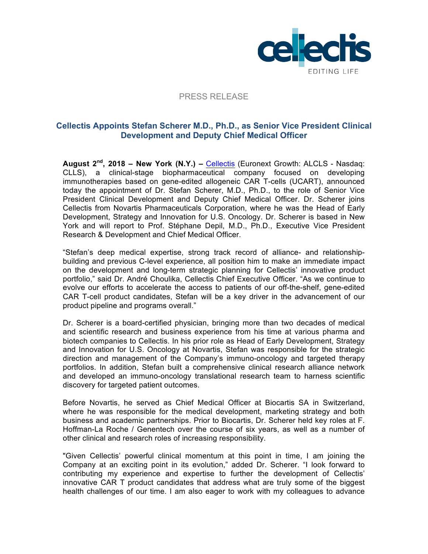

## PRESS RELEASE

# **Cellectis Appoints Stefan Scherer M.D., Ph.D., as Senior Vice President Clinical Development and Deputy Chief Medical Officer**

**August 2nd, 2018 – New York (N.Y.) –** Cellectis (Euronext Growth: ALCLS - Nasdaq: CLLS), a clinical-stage biopharmaceutical company focused on developing immunotherapies based on gene-edited allogeneic CAR T-cells (UCART), announced today the appointment of Dr. Stefan Scherer, M.D., Ph.D., to the role of Senior Vice President Clinical Development and Deputy Chief Medical Officer. Dr. Scherer joins Cellectis from Novartis Pharmaceuticals Corporation, where he was the Head of Early Development, Strategy and Innovation for U.S. Oncology. Dr. Scherer is based in New York and will report to Prof. Stéphane Depil, M.D., Ph.D., Executive Vice President Research & Development and Chief Medical Officer.

"Stefan's deep medical expertise, strong track record of alliance- and relationshipbuilding and previous C-level experience, all position him to make an immediate impact on the development and long-term strategic planning for Cellectis' innovative product portfolio," said Dr. André Choulika, Cellectis Chief Executive Officer. "As we continue to evolve our efforts to accelerate the access to patients of our off-the-shelf, gene-edited CAR T-cell product candidates, Stefan will be a key driver in the advancement of our product pipeline and programs overall."

Dr. Scherer is a board-certified physician, bringing more than two decades of medical and scientific research and business experience from his time at various pharma and biotech companies to Cellectis. In his prior role as Head of Early Development, Strategy and Innovation for U.S. Oncology at Novartis, Stefan was responsible for the strategic direction and management of the Company's immuno-oncology and targeted therapy portfolios. In addition, Stefan built a comprehensive clinical research alliance network and developed an immuno-oncology translational research team to harness scientific discovery for targeted patient outcomes.

Before Novartis, he served as Chief Medical Officer at Biocartis SA in Switzerland, where he was responsible for the medical development, marketing strategy and both business and academic partnerships. Prior to Biocartis, Dr. Scherer held key roles at F. Hoffman-La Roche / Genentech over the course of six years, as well as a number of other clinical and research roles of increasing responsibility.

"Given Cellectis' powerful clinical momentum at this point in time, I am joining the Company at an exciting point in its evolution," added Dr. Scherer. "I look forward to contributing my experience and expertise to further the development of Cellectis' innovative CAR T product candidates that address what are truly some of the biggest health challenges of our time. I am also eager to work with my colleagues to advance